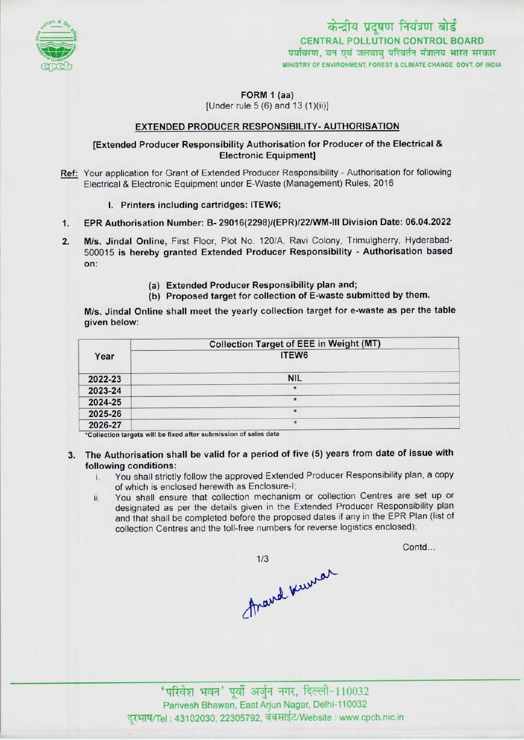

FORM 1 (aa)

[Under rule  $5(6)$  and  $13(1)(ii)$ ]

## EXTENDED PRODUCER RESPONSIBILITY- AUTHORISATION

## [Extended Producer Responsibility Authorisation for Producer of the Electrical & Electronic Equipment]

- Ref: Your application for Grant of Extended Producer Responsibility Authorisation for following Electrical & Electronic Equipment under E-Waste (Management) Rules, 2016
	- I. Printers including cartridges: ITEW6;
- 1. Printers including cartridges: ITEW6;<br>1. EPR Authorisation Number: B- 29016(2298)/(EPR)/22/WM-III Division Date: 06.04.2022
- 2. EPR Authorisation Number: B- 29016(2298)/(EPR)/22/WM-III Division Date: 06.04.2022<br>2. M/s. Jindal Online, First Floor, Plot No. 120/A, Ravi Colony, Trimulgherry, Hyderabad-M/s. Jindal Online, First Floor, Plot No. 120/A, Ravi Colony, Trimulgherry, Hyderabad-<br>500015 is hereby granted Extended Producer Responsibility - Authorisation based on:
	- (a)Extended Producer Responsibility plan and;
	- (b) Proposed target for collection of E-waste submitted by them.

M/s. Jindal Online shall meet the yearly collection target for e-waste as per the table given below:

| Year    | <b>Collection Target of EEE in Weight (MT)</b> |  |
|---------|------------------------------------------------|--|
|         | ITEW6                                          |  |
| 2022-23 | <b>NIL</b>                                     |  |
| 2023-24 | $\star$                                        |  |
| 2024-25 | $\star$                                        |  |
| 2025-26 | $\star$                                        |  |
| 2026-27 | $\star$                                        |  |

\*Collection targets will be fixed after submission of sales data

- 3. The Authorisation shall be valid for a period of five (5) years from date of issue with
	- following conditions:<br>i. You shall strictly You shall strictly follow the approved Extended Producer Responsibility plan, a copy of which is enclosed herewith as Enclosure-l;
		- ii. You shall ensure that collection mechanism or collection Centres are set up or designated as per the details given in the Extended Producer Responsibility plan and that shall be completed before the proposed dates if any in the EPR Plan (list of collection Centres and the toll-free numbers for reverse logistics enclosed);

Contd...

 $1/3$ frand kurrar

'परिवेश भवन' पूर्वी अर्जुन नगर, दिल्ली-110032 Parivesh Bhawan, East Arjun Nagar, Delhi-110032 दरभाष/Tel : 43102030, 22305792, वेबसाईट/Website : www.cpcb.nic.in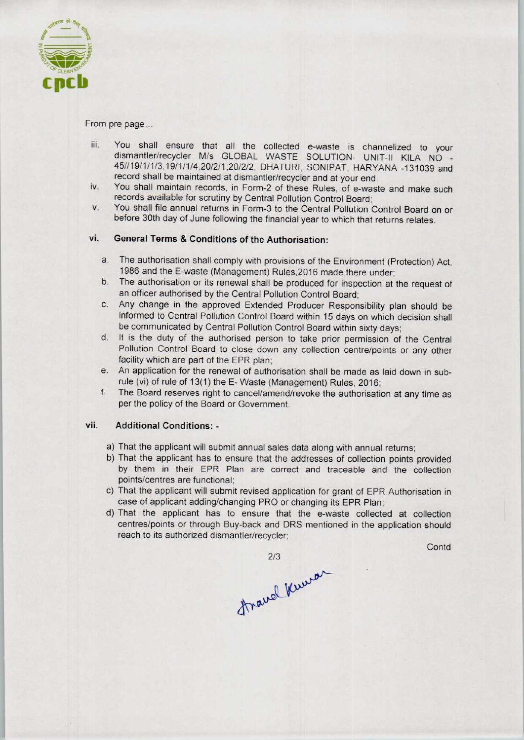

From pre page...

- iii. You shall ensure that all the collected e-waste is channelized to your dismantler/recycler M/s GLOBAL WASTE SOLUTION- UNIT-II KILA NO - 45//19/1/1/3,19/1/1/4,20/2/1,20/2/2, DHATURI, SONIPAT, HARYANA -131039 and record shall be maintained at dismantler/recycler and at your end.
- iv. You shall maintain records, in Form-2 of these Rules, of e-waste and make such records available for scrutiny by Central Pollution Control Board;
- v. You shall file annual returns in Form-3 to the Central Pollution Control Board on or before 30th day of June following the financial year to which that returns relates.

## vi. General Terms & Conditions of the Authorisation:

- a. The authorisation shall comply with provisions of the Environment (Protection) Act, 1986 and the E-waste (Management) Rules,2016 made there under;
- b.The authorisation or its renewal shall be produced for inspection at the request of an officer authorised by the Central Pollution Control Board;
- c.Any change in the approved Extended Producer Responsibility plan should be informed to Central Pollution Control Board within 15 days on which decision shall be communicated by Central Pollution Control Board within sixty days;
- d. It is the duty of the authorised person to take prior permission of the Central Pollution Control Board to close down any collection centre/points or any other facility which are part of the EPR plan;
- e. An application for the renewal of authorisation shall be made as laid down in subrule (vi) of rule of 13(1) the E- Waste (Management) Rules, 2016;
- f. The Board reserves right to cancel/amend/revoke the authorisation at any time as per the policy of the Board or Government.

## vii. Additional Conditions: -

- a) That the applicant will submit annual sales data along with annual returns;
- b) That the applicant has to ensure that the addresses of collection points provided by them in their EPR Plan are correct and traceable and the collection points/centres are functional;
- c) That the applicant will submit revised application for grant of EPR Authorisation in case of applicant adding/changing PRO or changing its EPR Plan;
- d)That the applicant has to ensure that the e-waste collected at collection centres/points or through Buy-back and DRS mentioned in the application should reach to its authorized dismantler/recycler;

2/3<br>fravel Kurra

**Contd**